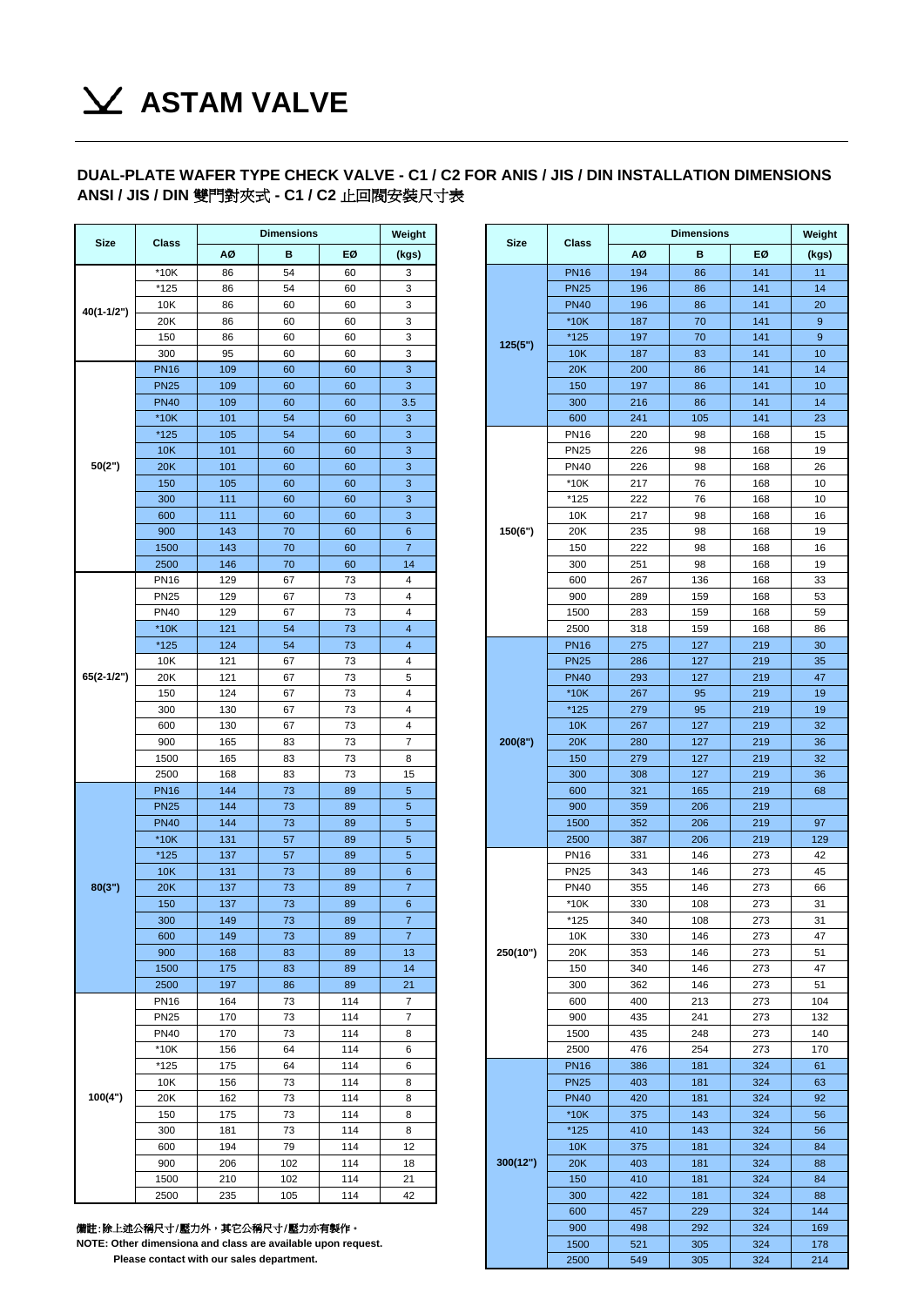## **ASTAM VALVE**

## **DUAL-PLATE WAFER TYPE CHECK VALVE - C1 / C2 FOR ANIS / JIS / DIN INSTALLATION DIMENSIONS ANSI / JIS / DIN** 雙門對夾式 **- C1 / C2** 止回閥安裝尺寸表

| <b>Size</b>  | <b>Class</b> | <b>Dimensions</b> |          |            | Weight               |  |             |                  | <b>Dimensions</b> |            |            |
|--------------|--------------|-------------------|----------|------------|----------------------|--|-------------|------------------|-------------------|------------|------------|
|              |              | ΑØ                | в        | EØ         | (kgs)                |  | <b>Size</b> | Class            | ΑØ                | в          | EØ         |
|              | $*10K$       | 86                | 54       | 60         | 3                    |  |             | <b>PN16</b>      | 194               | 86         | 141        |
|              | *125         | 86                | 54       | 60         | 3                    |  |             | <b>PN25</b>      | 196               | 86         | 141        |
| 40(1-1/2")   | 10K          | 86                | 60       | 60         | 3                    |  |             | <b>PN40</b>      | 196               | 86         | 141        |
|              | 20K          | 86                | 60       | 60         | 3                    |  |             | $*10K$           | 187               | 70         | 141        |
|              | 150          | 86                | 60       | 60         | 3                    |  | 125(5")     | $*125$           | 197               | 70         | 141        |
|              | 300          | 95                | 60       | 60         | 3                    |  |             | 10K              | 187               | 83         | 141        |
|              | <b>PN16</b>  | 109               | 60       | 60         | 3                    |  |             | 20K              | 200               | 86         | 141        |
|              | <b>PN25</b>  | 109               | 60       | 60         | 3                    |  |             | 150              | 197               | 86         | 141        |
|              | <b>PN40</b>  | 109               | 60       | 60         | 3.5                  |  |             | 300              | 216               | 86         | 141        |
|              | $*10K$       | 101               | 54       | 60         | 3                    |  |             | 600              | 241               | 105        | 141        |
|              | *125         | 105               | 54       | 60         | 3                    |  |             | <b>PN16</b>      | 220               | 98         | 168        |
|              | 10K          | 101               | 60       | 60         | 3                    |  |             | <b>PN25</b>      | 226               | 98         | 168        |
| 50(2")       | 20K          | 101               | 60       | 60         | 3                    |  |             | <b>PN40</b>      | 226               | 98         | 168        |
|              | 150          | 105               | 60       | 60         | $\mathbf{3}$         |  |             | *10K             | 217               | 76         | 168        |
|              | 300          | 111               | 60       | 60         | 3                    |  |             | $*125$           | 222               | 76         | 168        |
|              | 600          | 111               | 60       | 60         | 3                    |  |             | 10K              | 217               | 98         | 168        |
|              | 900          | 143               | 70       | 60         | 6                    |  | 150(6")     | 20K              | 235               | 98         | 168        |
|              | 1500<br>2500 | 143               | 70<br>70 | 60         | $\overline{7}$<br>14 |  |             | 150              | 222               | 98         | 168<br>168 |
|              | <b>PN16</b>  | 146<br>129        | 67       | 60<br>73   | 4                    |  |             | 300<br>600       | 251<br>267        | 98<br>136  |            |
|              | <b>PN25</b>  | 129               | 67       | 73         | 4                    |  |             | 900              | 289               | 159        | 168<br>168 |
|              | <b>PN40</b>  | 129               | 67       | 73         | 4                    |  |             | 1500             | 283               | 159        | 168        |
|              | $*10K$       | 121               | 54       | 73         | 4                    |  |             | 2500             | 318               | 159        | 168        |
| $65(2-1/2")$ | $*125$       | 124               | 54       | 73         | $\overline{4}$       |  |             | <b>PN16</b>      | 275               | 127        | 219        |
|              | 10K          | 121               | 67       | 73         | 4                    |  |             | <b>PN25</b>      | 286               | 127        | 219        |
|              | 20K          | 121               | 67       | 73         | 5                    |  |             | <b>PN40</b>      | 293               | 127        | 219        |
|              | 150          | 124               | 67       | 73         | 4                    |  |             | $*10K$           | 267               | 95         | 219        |
|              | 300          | 130               | 67       | 73         | 4                    |  |             | $*125$           | 279               | 95         | 219        |
|              | 600          | 130               | 67       | 73         | 4                    |  | 200(8")     | 10K              | 267               | 127        | 219        |
|              | 900          | 165               | 83       | 73         | 7                    |  |             | 20K              | 280               | 127        | 219        |
|              | 1500         | 165               | 83       | 73         | 8                    |  |             | 150              | 279               | 127        | 219        |
|              | 2500         | 168               | 83       | 73         | 15                   |  | 300         | 308              | 127               | 219        |            |
|              | <b>PN16</b>  | 144               | 73       | 89         | 5                    |  |             | 600              | 321               | 165        | 219        |
|              | <b>PN25</b>  | 144               | 73       | 89         | 5                    |  |             | 900              | 359               | 206        | 219        |
|              | <b>PN40</b>  | 144               | 73       | 89         | 5                    |  |             | 1500             | 352               | 206        | 219        |
|              | $*10K$       | 131               | 57       | 89         | 5                    |  |             | 2500             | 387               | 206        | 219        |
|              | $*125$       | 137               | 57       | 89         | 5                    |  |             | <b>PN16</b>      | 331               | 146        | 273        |
|              | 10K          | 131               | 73       | 89         | 6                    |  |             | <b>PN25</b>      | 343               | 146        | 273        |
| 80(3")       | 20K          | 137               | 73       | 89         | $\overline{7}$       |  | <b>PN40</b> | 355              | 146               | 273        |            |
|              | 150          | 137               | 73       | 89         | $6\phantom{a}$       |  |             | $*10K$           | 330               | 108        | 273        |
|              | 300          | 149               | 73       | 89         | 7                    |  |             | *125             | 340               | 108        | 273        |
|              | 600          | 149               | 73       | 89         | $\overline{7}$       |  |             | 10K              | 330               | 146        | 273        |
|              | 900          | 168               | 83       | 89         | 13                   |  | 250(10")    | 20K              | 353               | 146        | 273        |
|              | 1500         | 175               | 83       | 89         | 14                   |  |             | 150              | 340               | 146        | 273        |
|              | 2500         | 197               | 86       | 89         | 21                   |  |             | 300              | 362               | 146        | 273        |
|              | <b>PN16</b>  | 164               | 73       | 114        | $\overline{7}$       |  |             | 600              | 400               | 213        | 273        |
|              | <b>PN25</b>  | 170               | 73       | 114        | 7                    |  |             | 900              | 435               | 241        | 273        |
|              | <b>PN40</b>  | 170               | 73       | 114        | 8                    |  |             | 1500             | 435               | 248        | 273        |
|              | $*10K$       | 156               | 64       | 114        | 6                    |  |             | 2500             | 476               | 254        | 273        |
|              | *125         | 175               | 64       | 114        | 6                    |  |             | <b>PN16</b>      | 386               | 181        | 324        |
| 100(4")      | 10K          | 156               | 73       | 114        | 8                    |  | <b>PN25</b> | 403              | 181               | 324        |            |
|              | 20K          | 162               | 73       | 114        | 8                    |  | <b>PN40</b> | 420              | 181               | 324        |            |
|              | 150<br>300   | 175<br>181        | 73<br>73 | 114<br>114 | 8<br>8               |  |             | $*10K$<br>$*125$ | 375<br>410        | 143<br>143 | 324<br>324 |
|              | 600          | 194               | 79       | 114        | 12                   |  |             | 10K              | 375               | 181        | 324        |
|              | 900          | 206               | 102      | 114        | 18                   |  | 300(12")    | 20K              | 403               | 181        | 324        |
|              | 1500         | 210               | 102      | 114        | 21                   |  |             | 150              | 410               | 181        | 324        |
|              | 2500         | 235               | 105      | 114        | 42                   |  |             | 300              | 422               | 181        | 324        |
|              |              |                   |          |            |                      |  |             |                  | $- -$             | $\sim$     | $\sim$     |

| 備註:除上述公稱尺寸/壓力外,其它公稱尺寸/壓力亦有製作。 |  |
|-------------------------------|--|

**NOTE: Other dimensiona and class are available upon request.**

 **Please contact with our sales department.**

|                     | <b>Dimensions</b> |                                                                                     | Weight    |                              |  |             | Weight             |            |            |            |            |
|---------------------|-------------------|-------------------------------------------------------------------------------------|-----------|------------------------------|--|-------------|--------------------|------------|------------|------------|------------|
| Class               | ΑØ                | в                                                                                   | EØ        | (kgs)                        |  | <b>Size</b> | Class              | ΑØ         | в          | EØ         | (kgs)      |
| $*10K$              | 86                | 54                                                                                  | 60        | 3                            |  |             | <b>PN16</b>        | 194        | 86         | 141        | 11         |
| *125                | 86                | 54                                                                                  | 60        | 3                            |  |             | <b>PN25</b>        | 196        | 86         | 141        | 14         |
| 10K                 | 86                | 60                                                                                  | 60        | 3                            |  |             | <b>PN40</b>        | 196        | 86         | 141        | 20         |
| 20K                 | 86                | 60                                                                                  | 60        | 3                            |  |             | $*10K$             | 187        | 70         | 141        | 9          |
| 150                 | 86                | 60                                                                                  | 60        | 3                            |  | 125(5")     | *125               | 197        | 70         | 141        | 9          |
| 300                 | 95                | 60                                                                                  | 60        | 3                            |  |             | 10K                | 187        | 83         | 141        | 10         |
| <b>PN16</b>         | 109               | 60                                                                                  | 60        | 3                            |  |             | 20K                | 200        | 86         | 141        | 14         |
| <b>PN25</b>         | 109               | 60                                                                                  | 60        | 3                            |  |             | 150                | 197        | 86         | 141        | 10         |
| <b>PN40</b>         | 109               | 60                                                                                  | 60        | 3.5                          |  |             | 300                | 216        | 86         | 141        | 14         |
| $*10K$<br>*125      | 101<br>105        | 54<br>54                                                                            | 60<br>60  | $\mathbf{3}$<br>$\mathbf{3}$ |  |             | 600<br><b>PN16</b> | 241<br>220 | 105<br>98  | 141<br>168 | 23<br>15   |
| 10K                 | 101               | 60                                                                                  | 60        | 3                            |  | <b>PN25</b> | 226                | 98         | 168        | 19         |            |
| 20K                 | 101               | 60                                                                                  | 60        | 3                            |  |             | <b>PN40</b>        | 226        | 98         | 168        | 26         |
| 150                 | 105               | 60                                                                                  | 60        | 3                            |  |             | $*10K$             | 217        | 76         | 168        | 10         |
| 300                 | 111               | 60                                                                                  | 60        | $\mathbf{3}$                 |  |             | *125               | 222        | 76         | 168        | 10         |
| 600                 | 111               | 60                                                                                  | 60        | 3                            |  |             | 10K                | 217        | 98         | 168        | 16         |
| 900                 | 143               | 70                                                                                  | 60        | $6\phantom{1}6$              |  | 150(6")     | 20K                | 235        | 98         | 168        | 19         |
| 1500                | 143               | 70                                                                                  | 60        | $\overline{7}$               |  |             | 150                | 222        | 98         | 168        | 16         |
| 2500                | 146               | 70                                                                                  | 60        | 14                           |  |             | 300                | 251        | 98         | 168        | 19         |
| <b>PN16</b>         | 129               | 67                                                                                  | 73        | 4                            |  |             | 600                | 267        | 136        | 168        | 33         |
| <b>PN25</b>         | 129               | 67                                                                                  | 73        | 4                            |  |             | 900                | 289        | 159        | 168        | 53         |
| <b>PN40</b>         | 129               | 67                                                                                  | 73        | 4                            |  |             | 1500               | 283        | 159        | 168        | 59         |
| $*10K$              | 121               | 54                                                                                  | 73        | $\overline{4}$               |  |             | 2500               | 318        | 159        | 168        | 86         |
| *125                | 124               | 54                                                                                  | 73        | $\overline{4}$               |  | 200(8")     | <b>PN16</b>        | 275        | 127        | 219        | 30         |
| 10K                 | 121               | 67                                                                                  | 73        | 4                            |  |             | <b>PN25</b>        | 286        | 127        | 219        | 35         |
| 20K                 | 121               | 67                                                                                  | 73        | 5                            |  |             | <b>PN40</b>        | 293        | 127        | 219        | 47         |
| 150                 | 124               | 67                                                                                  | 73        | $\overline{4}$               |  |             | $*10K$             | 267        | 95         | 219        | 19         |
| 300                 | 130               | 67                                                                                  | 73        | $\overline{4}$               |  |             | *125               | 279        | 95         | 219        | 19         |
| 600                 | 130               | 67                                                                                  | 73        | 4                            |  |             | 10K                | 267        | 127        | 219        | 32         |
| 900<br>1500         | 165<br>165        | 83<br>83                                                                            | 73<br>73  | 7<br>8                       |  |             | 20K<br>150         | 280<br>279 | 127<br>127 | 219<br>219 | 36<br>32   |
| 2500                | 168               | 83                                                                                  | 73        | 15                           |  |             | 300                | 308        | 127        | 219        | 36         |
| <b>PN16</b>         | 144               | 73                                                                                  | 89        | $\sqrt{5}$                   |  |             | 600                | 321        | 165        | 219        | 68         |
| <b>PN25</b>         | 144               | 73                                                                                  | 89        | $\sqrt{5}$                   |  |             | 900                | 359        | 206        | 219        |            |
| <b>PN40</b>         | 144               | 73                                                                                  | 89        | $\overline{5}$               |  |             | 1500               | 352        | 206        | 219        | 97         |
| $*10K$              | 131               | 57                                                                                  | 89        | $\overline{5}$               |  |             | 2500               | 387        | 206        | 219        | 129        |
| $*125$              | 137               | 57                                                                                  | 89        | $\overline{5}$               |  |             | <b>PN16</b>        | 331        | 146        | 273        | 42         |
| 10K                 | 131               | 73                                                                                  | 89        | $\boldsymbol{6}$             |  |             | <b>PN25</b>        | 343        | 146        | 273        | 45         |
| 20K                 | 137               | 73                                                                                  | 89        | $\overline{7}$               |  |             | <b>PN40</b>        | 355        | 146        | 273        | 66         |
| 150                 | 137               | 73                                                                                  | 89        | $6\phantom{1}$               |  |             | $*10K$             | 330        | 108        | 273        | 31         |
| 300                 | 149               | 73                                                                                  | 89        | 7                            |  |             | *125               | 340        | 108        | 273        | 31         |
| 600                 | 149               | 73                                                                                  | 89        | $\overline{7}$               |  |             | 10K                | 330        | 146        | 273        | 47         |
| 900                 | 168               | 83                                                                                  | 89        | 13                           |  | 250(10")    | 20K                | 353        | 146        | 273        | 51         |
| 1500                | 175               | 83                                                                                  | 89        | 14                           |  |             | 150                | 340        | 146        | 273        | 47         |
| 2500                | 197<br>164        | 86<br>73                                                                            | 89<br>114 | 21<br>7                      |  |             | 300<br>600         | 362<br>400 | 146<br>213 | 273<br>273 | 51<br>104  |
| PN16<br><b>PN25</b> | 170               | 73                                                                                  | 114       | 7                            |  |             | 900                | 435        | 241        | 273        | 132        |
| <b>PN40</b>         | 170               | 73                                                                                  | 114       | 8                            |  |             | 1500               | 435        | 248        | 273        | 140        |
| $*10K$              | 156               | 64                                                                                  | 114       | 6                            |  |             | 2500               | 476        | 254        | 273        | 170        |
| *125                | 175               | 64                                                                                  | 114       | 6                            |  |             | <b>PN16</b>        | 386        | 181        | 324        | 61         |
| 10K                 | 156               | 73                                                                                  | 114       | 8                            |  |             | <b>PN25</b>        | 403        | 181        | 324        | 63         |
| 20K                 | 162               | 73                                                                                  | 114       | 8                            |  |             | <b>PN40</b>        | 420        | 181        | 324        | 92         |
| 150                 | 175               | 73                                                                                  | 114       | 8                            |  |             | $*10K$             | 375        | 143        | 324        | 56         |
| 300                 | 181               | 73                                                                                  | 114       | 8                            |  |             | *125               | 410        | 143        | 324        | 56         |
| 600                 | 194               | 79                                                                                  | 114       | 12                           |  |             | 10K                | 375        | 181        | 324        | 84         |
| 900                 | 206               | 102                                                                                 | 114       | 18                           |  | 300(12")    | 20K                | 403        | 181        | 324        | 88         |
| 1500                | 210               | 102                                                                                 | 114       | 21                           |  |             | 150                | 410        | 181        | 324        | 84         |
| 2500                | 235               | 105                                                                                 | 114       | 42                           |  |             | 300                | 422        | 181        | 324        | 88         |
|                     |                   |                                                                                     |           |                              |  |             | 600                | 457        | 229        | 324        | 144        |
|                     |                   | 尺寸/壓力外,其它公稱尺寸/壓力亦有製作。                                                               |           |                              |  |             | 900                | 498        | 292        | 324        | 169        |
|                     |                   | nensiona and class are available upon request.<br>ontact with our sales department. |           |                              |  |             | 1500<br>2500       | 521<br>549 | 305<br>305 | 324<br>324 | 178<br>214 |
|                     |                   |                                                                                     |           |                              |  |             |                    |            |            |            |            |